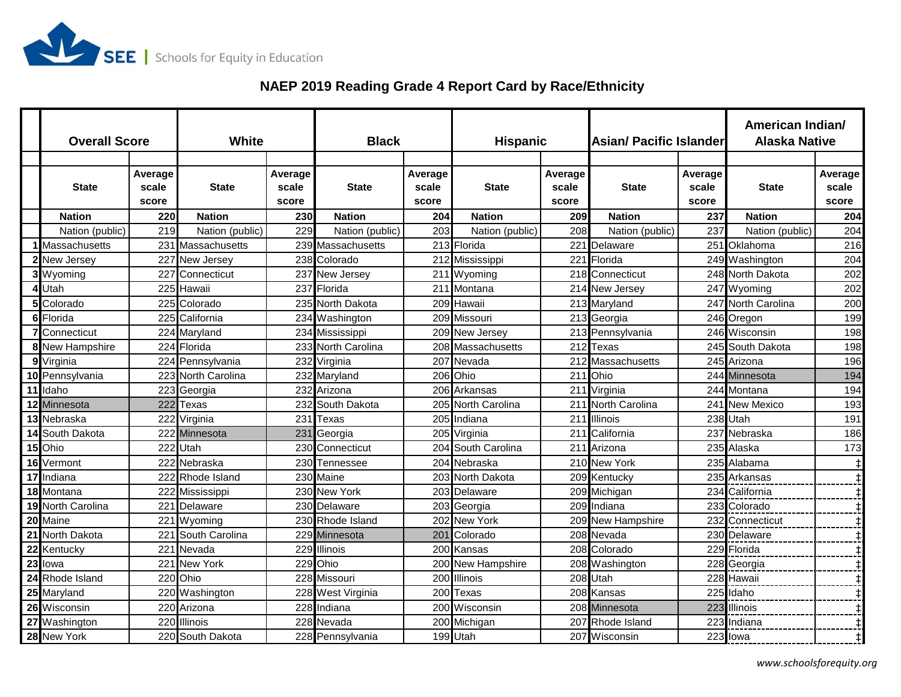

## **NAEP 2019 Reading Grade 4 Report Card by Race/Ethnicity**

|                | <b>Overall Score</b>   |                | <b>White</b>          |                | <b>Black</b>       |                | <b>Hispanic</b>    |                | <b>Asian/ Pacific Islander</b> |                | American Indian/<br><b>Alaska Native</b> |                |
|----------------|------------------------|----------------|-----------------------|----------------|--------------------|----------------|--------------------|----------------|--------------------------------|----------------|------------------------------------------|----------------|
|                |                        | Average        |                       | Average        |                    | Average        |                    | Average        |                                | Average        |                                          | Average        |
|                | <b>State</b>           | scale<br>score | <b>State</b>          | scale<br>score | State              | scale<br>score | <b>State</b>       | scale<br>score | <b>State</b>                   | scale<br>score | <b>State</b>                             | scale<br>score |
|                | <b>Nation</b>          | 220            | <b>Nation</b>         | 230            | <b>Nation</b>      | 204            | <b>Nation</b>      | 209            | <b>Nation</b>                  | 237            | <b>Nation</b>                            | 204            |
|                | Nation (public)        | 219            | Nation (public)       | 229            | Nation (public)    | 203            | Nation (public)    | 208            | Nation (public)                | 237            | Nation (public)                          | 204            |
|                | 1 Massachusetts        | 231            | Massachusetts         |                | 239 Massachusetts  |                | 213 Florida        | 221            | Delaware                       |                | 251 Oklahoma                             | 216            |
|                | 2 New Jersey           | 227            | New Jersey            |                | 238 Colorado       |                | 212 Mississippi    | 221            | Florida                        |                | 249 Washington                           | 204            |
|                | 3 Wyoming              | 22             | Connecticut           |                | 237 New Jersey     |                | 211 Wyoming        |                | 218 Connecticut                |                | 248 North Dakota                         | 202            |
|                | 4Utah                  | 225            | Hawaii                |                | 237 Florida        |                | 211 Montana        |                | 214 New Jersey                 |                | 247 Wyoming                              | 202            |
| 5 <sub>l</sub> | Colorado               | 225            | Colorado              |                | 235 North Dakota   |                | 209 Hawaii         |                | 213 Maryland                   |                | 247 North Carolina                       | 200            |
|                | 6 Florida              | 225            | California            |                | 234 Washington     |                | 209 Missouri       |                | 213 Georgia                    |                | 246 Oregon                               | 199            |
|                | <b>7</b> Connecticut   | 224            | Maryland              |                | 234 Mississippi    |                | 209 New Jersey     |                | 213 Pennsylvania               |                | 246 Wisconsin                            | 198            |
|                | <b>8</b> New Hampshire | 224            | Florida               |                | 233 North Carolina |                | 208 Massachusetts  | 212            | Texas                          |                | 245 South Dakota                         | 198            |
|                | 9 Virginia             | 224            | Pennsylvania          |                | 232 Virginia       |                | 207 Nevada         | 212            | Massachusetts                  |                | 245 Arizona                              | 196            |
|                | 10 Pennsylvania        | 223            | <b>North Carolina</b> |                | 232 Maryland       |                | 206 Ohio           | 211            | Ohio                           |                | 244 Minnesota                            | 194            |
|                | 11 Idaho               | 223            | Georgia               |                | 232 Arizona        | <b>206</b>     | Arkansas           | 211            | Virginia                       |                | 244 Montana                              | 194            |
|                | 12 Minnesota           | 222            | Texas                 | 232            | South Dakota       |                | 205 North Carolina | 211            | North Carolina                 |                | 241 New Mexico                           | 193            |
|                | 13 Nebraska            | 222            | Virginia              | 231            | <b>I</b> Texas     |                | 205 Indiana        | 211            | Illinois                       |                | 238 Utah                                 | 191            |
|                | 14 South Dakota        | 222            | Minnesota             |                | 231 Georgia        |                | 205 Virginia       | 211            | California                     |                | 237 Nebraska                             | 186            |
|                | 15 Ohio                | 222            | Utah                  |                | 230 Connecticut    |                | 204 South Carolina | 211            | Arizona                        |                | 235 Alaska                               | 173            |
| 16I            | Vermont                | 222            | Nebraska              |                | 230 Tennessee      |                | 204 Nebraska       |                | 210 New York                   |                | 235 Alabama                              | $\ddagger$     |
|                | 17 Indiana             | 222            | Rhode Island          |                | 230 Maine          |                | 203 North Dakota   |                | 209 Kentucky                   |                | 235 Arkansas                             |                |
|                | 18 Montana             | 222            | Mississippi           |                | 230 New York       |                | 203 Delaware       |                | 209 Michigan                   |                | 234 California                           |                |
|                | 19 North Carolina      | 221            | Delaware              |                | 230 Delaware       |                | 203 Georgia        |                | 209 Indiana                    |                | 233 Colorado                             |                |
|                | 20 Maine               | 221            | Wyoming               |                | 230 Rhode Island   |                | 202 New York       |                | 209 New Hampshire              |                | 232 Connecticut                          |                |
|                | 21 North Dakota        | 221            | South Carolina        |                | 229 Minnesota      | 201            | Colorado           |                | 208 Nevada                     |                | 230 Delaware                             |                |
| 22             | Kentucky               | 221            | Nevada                |                | 229 Illinois       |                | 200 Kansas         |                | 208 Colorado                   |                | 229 Florida                              |                |
| 23             | Iowa                   | 221            | <b>New York</b>       |                | 229 Ohio           |                | 200 New Hampshire  |                | 208 Washington                 |                | 228 Georgia                              |                |
| 24             | Rhode Island           | 220            | Ohio                  |                | 228 Missouri       | 200            | Illinois           | 208            | Utah                           |                | 228 Hawaii                               |                |
|                | 25 Maryland            | 220            | Washington            |                | 228 West Virginia  | 200            | Texas              | 208            | Kansas                         |                | 225 Idaho                                |                |
|                | 26 Wisconsin           | 220            | Arizona               |                | 228 Indiana        | 200 <b>1</b>   | Wisconsin          |                | 208 Minnesota                  | 223            | <b>Illinois</b>                          |                |
| 27             | Washington             | 220            | <b>Illinois</b>       |                | 228 Nevada         |                | 200 Michigan       |                | 207 Rhode Island               |                | 223 Indiana                              |                |
|                | 28 New York            |                | 220 South Dakota      |                | 228 Pennsylvania   |                | 199 Utah           |                | 207 Wisconsin                  |                | 223 lowa                                 |                |